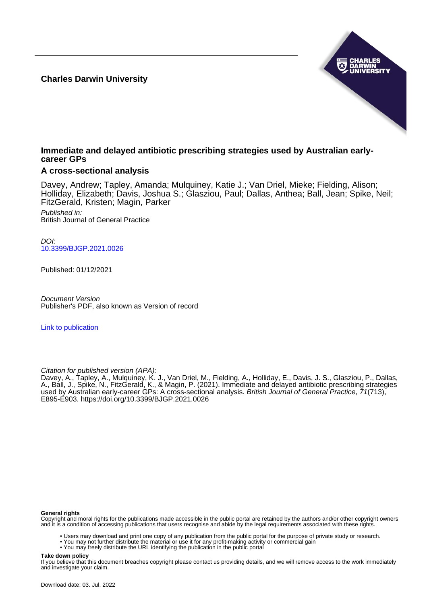**Charles Darwin University**



## **Immediate and delayed antibiotic prescribing strategies used by Australian earlycareer GPs**

## **A cross-sectional analysis**

Davey, Andrew; Tapley, Amanda; Mulquiney, Katie J.; Van Driel, Mieke; Fielding, Alison; Holliday, Elizabeth; Davis, Joshua S.; Glasziou, Paul; Dallas, Anthea; Ball, Jean; Spike, Neil; FitzGerald, Kristen; Magin, Parker

Published in: British Journal of General Practice

DOI: [10.3399/BJGP.2021.0026](https://doi.org/10.3399/BJGP.2021.0026)

Published: 01/12/2021

Document Version Publisher's PDF, also known as Version of record

[Link to publication](https://researchers.cdu.edu.au/en/publications/4c4749ec-b82f-44e1-bb91-c9faa2c7ddbf)

Citation for published version (APA):

Davey, A., Tapley, A., Mulquiney, K. J., Van Driel, M., Fielding, A., Holliday, E., Davis, J. S., Glasziou, P., Dallas, A., Ball, J., Spike, N., FitzGerald, K., & Magin, P. (2021). Immediate and delayed antibiotic prescribing strategies used by Australian early-career GPs: A cross-sectional analysis. *British Journal of General Practice, 71*(713), E895-E903. <https://doi.org/10.3399/BJGP.2021.0026>

#### **General rights**

Copyright and moral rights for the publications made accessible in the public portal are retained by the authors and/or other copyright owners and it is a condition of accessing publications that users recognise and abide by the legal requirements associated with these rights.

• Users may download and print one copy of any publication from the public portal for the purpose of private study or research.

• You may not further distribute the material or use it for any profit-making activity or commercial gain

• You may freely distribute the URL identifying the publication in the public portal

#### **Take down policy**

If you believe that this document breaches copyright please contact us providing details, and we will remove access to the work immediately and investigate your claim.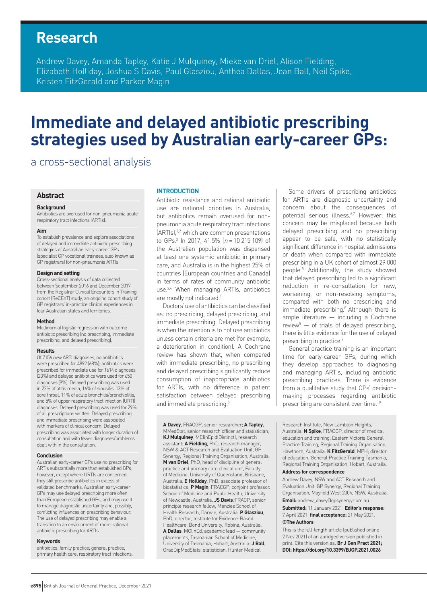# **Research**

Andrew Davey, Amanda Tapley, Katie J Mulquiney, Mieke van Driel, Alison Fielding, Elizabeth Holliday, Joshua S Davis, Paul Glasziou, Anthea Dallas, Jean Ball, Neil Spike, Kristen FitzGerald and Parker Magin

# **Immediate and delayed antibiotic prescribing strategies used by Australian early-career GPs:**

# a cross-sectional analysis

### **Abstract**

### **Background**

Antibiotics are overused for non-pneumonia acute respiratory tract infections (ARTIs).

#### **Aim**

To establish prevalence and explore associations of delayed and immediate antibiotic prescribing strategies of Australian early-career GPs (specialist GP vocational trainees, also known as GP registrars) for non-pneumonia ARTIs.

#### **Design and setting**

Cross-sectional analysis of data collected between September 2016 and December 2017 from the Registrar Clinical Encounters in Training cohort (ReCEnT) study, an ongoing cohort study of GP registrars' in-practice clinical experiences in four Australian states and territories.

#### **Method**

Multinomial logistic regression with outcome antibiotic prescribing (no prescribing, immediate prescribing, and delayed prescribing).

#### **Results**

Of 7156 new ARTI diagnoses, no antibiotics were prescribed for 4892 (68%); antibiotics were prescribed for immediate use for 1614 diagnoses (23%) and delayed antibiotics were used for 650 diagnoses (9%). Delayed prescribing was used in 22% of otitis media, 16% of sinusitis, 13% of sore throat, 11% of acute bronchitis/bronchiolitis, and 5% of upper respiratory tract infection (URTI) diagnoses. Delayed prescribing was used for 29% of all prescriptions written. Delayed prescribing and immediate prescribing were associated with markers of clinical concern. Delayed prescribing was associated with longer duration of consultation and with fewer diagnoses/problems dealt with in the consultation.

#### **Conclusion**

Australian early-career GPs use no prescribing for ARTIs substantially more than established GPs; however, except where URTIs are concerned, they still prescribe antibiotics in excess of validated benchmarks. Australian early-career GPs may use delayed prescribing more often than European established GPs, and may use it to manage diagnostic uncertainty and, possibly, conflicting influences on prescribing behaviour. The use of delayed prescribing may enable a transition to an environment of more-rational antibiotic prescribing for ARTIs.

#### **Keywords**

antibiotics; family practice; general practice; primary health care; respiratory tract infections.

#### **INTRODUCTION**

Antibiotic resistance and rational antibiotic use are national priorities in Australia, but antibiotics remain overused for nonpneumonia acute respiratory tract infections (ARTIs),<sup>1,2</sup> which are common presentations to GPs.<sup>3</sup> In 2017, 41.5% ( $n = 10215109$ ) of the Australian population was dispensed at least one systemic antibiotic in primary care, and Australia is in the highest 25% of countries (European countries and Canada) in terms of rates of community antibiotic use.2,4 When managing ARTIs, antibiotics are mostly not indicated.<sup>1</sup>

Doctors' use of antibiotics can be classified as: no prescribing, delayed prescribing, and immediate prescribing. Delayed prescribing is when the intention is to not use antibiotics unless certain criteria are met (for example, a deterioration in condition). A Cochrane review has shown that, when compared with immediate prescribing, no prescribing and delayed prescribing significantly reduce consumption of inappropriate antibiotics for ARTIs, with no difference in patient satisfaction between delayed prescribing and immediate prescribing.<sup>5</sup>

**A Davey**, FRACGP, senior researcher; **A Tapley**, MMedStat, senior research officer and statistician; **KJ Mulquiney**, MClinEpid(Distinct), research assistant; **A Fielding**, PhD, research manager, NSW & ACT Research and Evaluation Unit, GP Synergy, Regional Training Organisation, Australia. **M van Driel**, PhD, head of discipline of general practice and primary care clinical unit, Faculty of Medicine, University of Queensland, Brisbane, Australia. **E Holliday**, PhD, associate professor of biostatistics; **P Magin**, FRACGP, conjoint professor. School of Medicine and Public Health, University of Newcastle, Australia. **JS Davis**, , FRACP, senior principle research fellow, Menzies School of Health Research, Darwin, Australia. **P Glasziou**, PhD, director, Institute for Evidence-Based Healthcare, Bond University, Robina, Australia. **A Dallas**, MClinEd, academic lead — community placements, Tasmanian School of Medicine, University of Tasmania, Hobart, Australia. **J Ball**, GradDipMedStats, statistician, Hunter Medical

Some drivers of prescribing antibiotics for ARTIs are diagnostic uncertainty and concern about the consequences of potential serious illness.<sup>6,7</sup> However, this concern may be misplaced because both delayed prescribing and no prescribing appear to be safe, with no statistically significant difference in hospital admissions or death when compared with immediate prescribing in a UK cohort of almost 29 000 people.8 Additionally, the study showed that delayed prescribing led to a significant reduction in re-consultation for new, worsening, or non-resolving symptoms, compared with both no prescribing and immediate prescribing.<sup>8</sup> Although there is ample literature — including a Cochrane review<sup>5</sup>  $-$  of trials of delayed prescribing, there is little evidence for the use of delayed prescribing in practice.<sup>9</sup>

General practice training is an important time for early-career GPs, during which they develop approaches to diagnosing and managing ARTIs, including antibiotic prescribing practices. There is evidence from a qualitative study that GPs' decisionmaking processes regarding antibiotic prescribing are consistent over time.<sup>10</sup>

Research Institute, New Lambton Heights, Australia. **N Spike**, FRACGP, director of medical education and training, Eastern Victoria General Practice Training, Regional Training Organisation, Hawthorn, Australia. **K FitzGerald**, MPH; director of education, General Practice Training Tasmania, Regional Training Organisation, Hobart, Australia.

#### **Address for correspondence**

Andrew Davey, NSW and ACT Research and Evaluation Unit, GP Synergy, Regional Training Organisation, Mayfield West 2304, NSW, Australia. **Email:** andrew\_davey@gpsynergy.com.au

**Submitted:** 11 January 2021; **Editor's response:** 7 April 2021; **final acceptance:** 21 May 2021. **©The Authors**

This is the full-length article (published online 2 Nov 2021) of an abridged version published in print. Cite this version as: **Br J Gen Pract 2021; DOI: https://doi.org/10.3399/BJGP.2021.0026**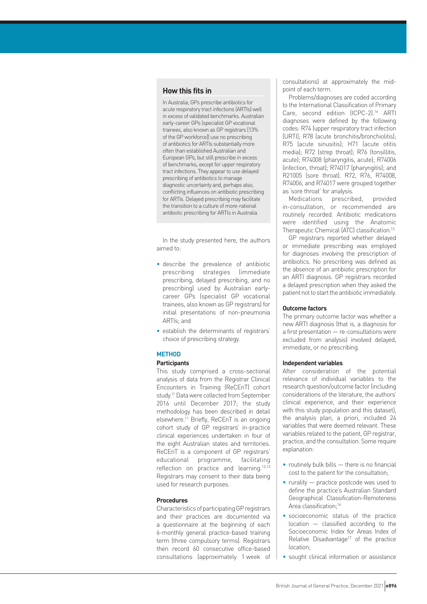## **How this fits in**

In Australia, GPs prescribe antibiotics for acute respiratory tract infections (ARTIs) well in excess of validated benchmarks. Australian early-career GPs (specialist GP vocational trainees, also known as GP registrars [13% of the GP workforce]) use no prescribing of antibiotics for ARTIs substantially more often than established Australian and European GPs, but still prescribe in excess of benchmarks, except for upper respiratory tract infections. They appear to use delayed prescribing of antibiotics to manage diagnostic uncertainty and, perhaps also, conflicting influences on antibiotic prescribing for ARTIs. Delayed prescribing may facilitate the transition to a culture of more-rational antibiotic prescribing for ARTIs in Australia.

In the study presented here, the authors aimed to:

- describe the prevalence of antibiotic prescribing strategies (immediate prescribing, delayed prescribing, and no prescribing) used by Australian earlycareer GPs (specialist GP vocational trainees, also known as GP registrars) for initial presentations of non-pneumonia ARTIs; and
- establish the determinants of registrars' choice of prescribing strategy.

## **METHOD**

## **Participants**

This study comprised a cross-sectional analysis of data from the Registrar Clinical Encounters in Training (ReCEnT) cohort study.<sup>11</sup> Data were collected from September 2016 until December 2017; the study methodology has been described in detail elsewhere.11 Briefly, ReCEnT is an ongoing cohort study of GP registrars' in-practice clinical experiences undertaken in four of the eight Australian states and territories. ReCEnT is a component of GP registrars' educational programme, facilitating reflection on practice and learning.12,13 Registrars may consent to their data being used for research purposes.

## **Procedures**

Characteristics of participating GP registrars and their practices are documented via a questionnaire at the beginning of each 6-monthly general practice-based training term (three compulsory terms). Registrars then record 60 consecutive office-based consultations (approximately 1 week of consultations) at approximately the midpoint of each term.

Problems/diagnoses are coded according to the International Classification of Primary Care, second edition (ICPC-2).<sup>14</sup> ARTI diagnoses were defined by the following codes: R74 (upper respiratory tract infection [URTI]; R78 (acute bronchitis/bronchiolitis); R75 (acute sinusitis); H71 (acute otitis media); R72 (strep throat); R76 (tonsillitis, acute); R74008 (pharyngitis, acute); R74006 (infection, throat); R74017 (pharyngitis); and R21005 (sore throat). R72, R76, R74008, R74006, and R74017 were grouped together as 'sore throat' for analysis.

Medications prescribed, provided in-consultation, or recommended are routinely recorded. Antibiotic medications were identified using the Anatomic Therapeutic Chemical (ATC) classification.15

GP registrars reported whether delayed or immediate prescribing was employed for diagnoses involving the prescription of antibiotics. No prescribing was defined as the absence of an antibiotic prescription for an ARTI diagnosis. GP registrars recorded a delayed prescription when they asked the patient not to start the antibiotic immediately.

#### **Outcome factors**

The primary outcome factor was whether a new ARTI diagnosis (that is, a diagnosis for a first presentation — re-consultations were excluded from analysis) involved delayed, immediate, or no prescribing.

#### **Independent variables**

After consideration of the potential relevance of individual variables to the research question/outcome factor (including considerations of the literature, the authors' clinical experience, and their experience with this study population and this dataset), the analysis plan, a priori, included 24 variables that were deemed relevant. These variables related to the patient, GP registrar, practice, and the consultation. Some require explanation:

- routinely bulk bills there is no financial cost to the patient for the consultation;
- rurality practice postcode was used to define the practice's Australian Standard Geographical Classification-Remoteness Area classification;<sup>16</sup>
- socioeconomic status of the practice location — classified according to the Socioeconomic Index for Areas Index of Relative Disadvantage<sup>17</sup> of the practice location;
- sought clinical information or assistance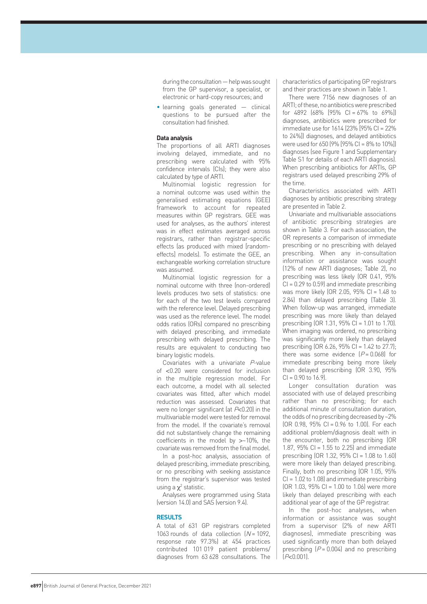during the consultation — help was sought from the GP supervisor, a specialist, or electronic or hard-copy resources; and

• learning goals generated — clinical questions to be pursued after the consultation had finished.

## **Data analysis**

The proportions of all ARTI diagnoses involving delayed, immediate, and no prescribing were calculated with 95% confidence intervals (CIs); they were also calculated by type of ARTI.

Multinomial logistic regression for a nominal outcome was used within the generalised estimating equations (GEE) framework to account for repeated measures within GP registrars. GEE was used for analyses, as the authors' interest was in effect estimates averaged across registrars, rather than registrar-specific effects (as produced with mixed [randomeffects] models). To estimate the GEE, an exchangeable working correlation structure was assumed.

Multinomial logistic regression for a nominal outcome with three (non-ordered) levels produces two sets of statistics: one for each of the two test levels compared with the reference level. Delayed prescribing was used as the reference level. The model odds ratios (ORs) compared no prescribing with delayed prescribing, and immediate prescribing with delayed prescribing. The results are equivalent to conducting two binary logistic models.

Covariates with a univariate P-value of <0.20 were considered for inclusion in the multiple regression model. For each outcome, a model with all selected covariates was fitted, after which model reduction was assessed. Covariates that were no longer significant (at  $P<0.20$ ) in the multivariable model were tested for removal from the model. If the covariate's removal did not substantively change the remaining coefficients in the model by >~10%, the covariate was removed from the final model.

In a post-hoc analysis, association of delayed prescribing, immediate prescribing, or no prescribing with seeking assistance from the registrar's supervisor was tested using a  $\chi^2$  statistic.

Analyses were programmed using Stata (version 14.0) and SAS (version 9.4).

#### **RESULTS**

A total of 631 GP registrars completed 1063 rounds of data collection  $[N = 1092]$ response rate 97.3%) at 454 practices contributed 101 019 patient problems/ diagnoses from 63 628 consultations. The characteristics of participating GP registrars and their practices are shown in Table 1.

There were 7156 new diagnoses of an ARTI; of these, no antibiotics were prescribed for  $4892$   $(68\%$   $[95\%$  CI = 67% to 69%]] diagnoses, antibiotics were prescribed for immediate use for 1614 (23% [95% CI = 22% to 24%]) diagnoses, and delayed antibiotics were used for 650 (9% [95% CI = 8% to 10%]) diagnoses (see Figure 1 and Supplementary Table S1 for details of each ARTI diagnosis). When prescribing antibiotics for ARTIs, GP registrars used delayed prescribing 29% of the time.

Characteristics associated with ARTI diagnoses by antibiotic prescribing strategy are presented in Table 2.

Univariate and multivariable associations of antibiotic prescribing strategies are shown in Table 3. For each association, the OR represents a comparison of immediate prescribing or no prescribing with delayed prescribing. When any in-consultation information or assistance was sought (12% of new ARTI diagnoses; Table 2), no prescribing was less likely (OR 0.41, 95% CI = 0.29 to 0.59) and immediate prescribing was more likely (OR 2.05, 95% CI = 1.48 to 2.84) than delayed prescribing (Table 3). When follow-up was arranged, immediate prescribing was more likely than delayed prescribing (OR 1.31, 95% CI = 1.01 to 1.70). When imaging was ordered, no prescribing was significantly more likely than delayed prescribing  $[OR 6.26, 95\% CI = 1.42$  to 27.7); there was some evidence  $[P=0.068]$  for immediate prescribing being more likely than delayed prescribing (OR 3.90, 95%  $Cl = 0.90$  to 16.9.

Longer consultation duration was associated with use of delayed prescribing rather than no prescribing; for each additional minute of consultation duration, the odds of no prescribing decreased by ~2% (OR 0.98, 95% CI = 0.96 to 1.00). For each additional problem/diagnosis dealt with in the encounter, both no prescribing (OR 1.87, 95% CI = 1.55 to 2.25) and immediate prescribing (OR 1.32, 95% CI = 1.08 to 1.60) were more likely than delayed prescribing. Finally, both no prescribing (OR 1.05, 95%  $Cl = 1.02$  to 1.08) and immediate prescribing  $[OR 1.03, 95\% C] = 1.00$  to 1.06) were more likely than delayed prescribing with each additional year of age of the GP registrar.

In the post-hoc analyses, when information or assistance was sought from a supervisor (2% of new ARTI diagnoses), immediate prescribing was used significantly more than both delayed prescribing  $(P = 0.004)$  and no prescribing  $[P<0.001]$ .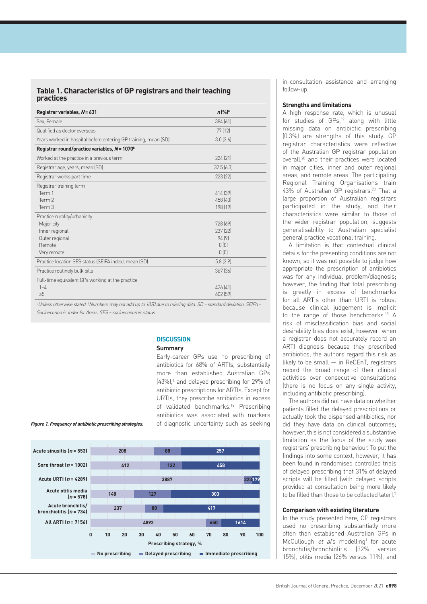## **Table 1. Characteristics of GP registrars and their teaching practices**

| Registrar variables, N=631                                      | $n\frac{9}{6}$ <sup>a</sup> |
|-----------------------------------------------------------------|-----------------------------|
| Sex, Female                                                     | 384 [61]                    |
| Qualified as doctor overseas                                    | 77(12)                      |
| Years worked in hospital before entering GP training, mean (SD) | 3.0(2.6)                    |
| Registrar round/practice variables, N = 1070 <sup>b</sup>       |                             |
| Worked at the practice in a previous term                       | 224(21)                     |
| Registrar age, years, mean (SD)                                 | 32.5(6.3)                   |
| Registrar works part time                                       | 223 (22)                    |
| Registrar training term                                         |                             |
| Term 1                                                          | 414 [39]                    |
| Term 2                                                          | 458 [43]                    |
| Term 3                                                          | 198 [19]                    |
| Practice rurality/urbanicity                                    |                             |
| Major city                                                      | 728 [69]                    |
| Inner regional                                                  | 237 (22)                    |
| Outer regional                                                  | 94[9]                       |
| Remote                                                          | 0(0)                        |
| Very remote                                                     | 0(0)                        |
| Practice location SES status (SEIFA index), mean (SD)           | 5.8(2.9)                    |
| Practice routinely bulk bills                                   | 367[36]                     |
| Full-time equivalent GPs working at the practice                |                             |
| $1 - 4$                                                         | 426 [41]                    |
| $\geq 5$                                                        | 602 [59]                    |

<sup>a</sup>Unless otherwise stated. <sup>b</sup>Numbers may not add up to 1070 due to missing data. SD = standard deviation. SEIFA = Socioeconomic Index for Areas. SES = socioeconomic status.

## **DISCUSSION**

### **Summary**

Early-career GPs use no prescribing of antibiotics for 68% of ARTIs, substantially more than established Australian GPs  $(43%)$ ,<sup>1</sup> and delayed prescribing for 29% of antibiotic prescriptions for ARTIs. Except for URTIs, they prescribe antibiotics in excess of validated benchmarks.<sup>18</sup> Prescribing antibiotics was associated with markers of diagnostic uncertainty such as seeking



in-consultation assistance and arranging follow-up.

#### **Strengths and limitations**

A high response rate, which is unusual for studies of GPs,19 along with little missing data on antibiotic prescribing (0.3%) are strengths of this study. GP registrar characteristics were reflective of the Australian GP registrar population overall,<sup>20</sup> and their practices were located in major cities, inner and outer regional areas, and remote areas. The participating Regional Training Organisations train 43% of Australian GP registrars.<sup>20</sup> That a large proportion of Australian registrars participated in the study, and their characteristics were similar to those of the wider registrar population, suggests generalisability to Australian specialist general practice vocational training.

A limitation is that contextual clinical details for the presenting conditions are not known, so it was not possible to judge how appropriate the prescription of antibiotics was for any individual problem/diagnosis; however, the finding that total prescribing is greatly in excess of benchmarks for all ARTIs other than URTI is robust because clinical judgement is implicit to the range of those benchmarks.18 A risk of misclassification bias and social desirability bias does exist, however, when a registrar does not accurately record an ARTI diagnosis because they prescribed antibiotics; the authors regard this risk as likely to be small  $-$  in ReCEnT, registrars record the broad range of their clinical activities over consecutive consultations (there is no focus on any single activity, including antibiotic prescribing).

The authors did not have data on whether patients filled the delayed prescriptions or actually took the dispensed antibiotics, nor did they have data on clinical outcomes; however, this is not considered a substantive limitation as the focus of the study was registrars' prescribing behaviour. To put the findings into some context, however, it has been found in randomised controlled trials of delayed prescribing that 31% of delayed scripts will be filled (with delayed scripts provided at consultation being more likely to be filled than those to be collected later).<sup>5</sup>

## **Comparison with existing literature**

In the study presented here, GP registrars used no prescribing substantially more often than established Australian GPs in McCullough et al's modelling<sup>1</sup> for acute bronchitis/bronchiolitis (32% versus 15%), otitis media (26% versus 11%), and

#### **Figure 1. Frequency of antibiotic prescribing strategies.**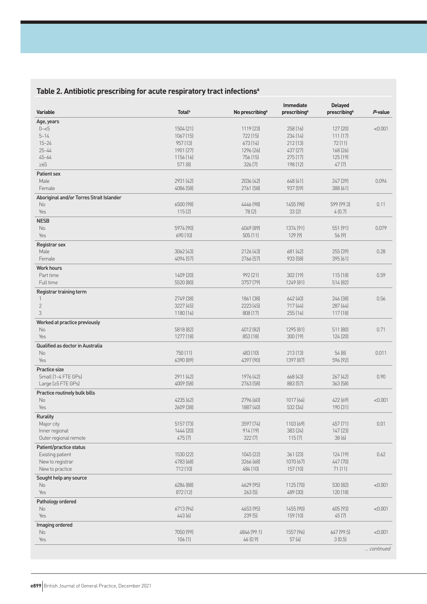# **Table 2. Antibiotic prescribing for acute respiratory tract infectionsa**

| Variable                                 | <b>Total</b> <sup>b</sup> | No prescribing <sup>b</sup> | <b>Immediate</b><br>prescribingb | <b>Delayed</b><br>prescribing <sup>b</sup> | P-value   |
|------------------------------------------|---------------------------|-----------------------------|----------------------------------|--------------------------------------------|-----------|
| Age, years                               |                           |                             |                                  |                                            |           |
| $0 - 5$                                  | 1504 (21)                 | 1119 (23)                   | 258 (16)                         | 127(20)                                    | < 0.001   |
| $5 - 14$                                 | 1067 [15]                 | 722 (15)                    | 234 (14)                         | 111(17)                                    |           |
| $15 - 24$                                | 957 (13)                  | 673 (14)                    | 212[13]                          | 72(11)                                     |           |
| $25 - 44$                                | 1901 [27]                 | 1296 (26)                   | 437 (27)                         | 168[26]                                    |           |
| $45 - 64$                                | 1156 (16)                 | 756 (15)                    | 275 (17)                         | 125(19)                                    |           |
| $\geq 65$                                | 571 (8)                   | 326(7)                      | 198 (12)                         | 47(7)                                      |           |
| Patient sex                              |                           |                             |                                  |                                            |           |
| Male                                     | 2931 [42]                 | 2036 [42]                   | 648 (41)                         | 247 [39]                                   | 0.094     |
| Female                                   | 4086 (58)                 | 2761 (58)                   | 937 [59]                         | 388 (61)                                   |           |
| Aboriginal and/or Torres Strait Islander |                           |                             |                                  |                                            |           |
| No                                       | 6500 (98)                 | 4446 [98]                   | 1455 (98)                        | 599 [99.3]                                 | 0.11      |
| Yes                                      | 115(2)                    | 78 (2)                      | 33(2)                            | 4(0.7)                                     |           |
| <b>NESB</b>                              |                           |                             |                                  |                                            |           |
| No                                       | 5974 (90)                 | 4049 [89]                   | 1374 (91)                        | 551 (91)                                   | 0.079     |
| Yes                                      | 690 (10)                  | 505(11)                     | 129 [9]                          | 56(9)                                      |           |
| Registrar sex                            |                           |                             |                                  |                                            |           |
| Male                                     | 3062 (43)                 | 2126 (43)                   | 681 (42)                         | 255 (39)                                   | 0.28      |
| Female                                   | 4094 [57]                 | 2766 [57]                   | 933 [58]                         | 395 [61]                                   |           |
| <b>Work hours</b>                        |                           |                             |                                  |                                            |           |
| Part time                                | 1409 (20)                 | 992 [21]                    | 302 (19)                         | 115[18]                                    | 0.59      |
| Full time                                | 5520 [80]                 | 3757 [79]                   | 1249 [81]                        | 514 (82)                                   |           |
|                                          |                           |                             |                                  |                                            |           |
| Registrar training term                  |                           |                             |                                  |                                            |           |
| 1                                        | 2749 [38]                 | 1861 [38]                   | 642 (40)                         | 246 [38]                                   | 0.56      |
| $\overline{2}$                           | 3227 (45)                 | 2223 [45]                   | 717 (44)                         | 287(44)                                    |           |
| 3                                        | 1180 (16)                 | 808 (17)                    | 255 (16)                         | 117(18)                                    |           |
| Worked at practice previously            |                           |                             |                                  |                                            |           |
| No                                       | 5818 (82)                 | 4012 (82)                   | 1295 (81)                        | 511 (80)                                   | 0.71      |
| Yes                                      | 1277 [18]                 | 853 (18)                    | 300 (19)                         | 124 (20)                                   |           |
| Qualified as doctor in Australia         |                           |                             |                                  |                                            |           |
| No                                       | 750 (11)                  | 483 (10)                    | 213 (13)                         | 54(8)                                      | 0.011     |
| Yes                                      | 6390 [89]                 | 4397 [90]                   | 1397 [87]                        | 596 (92)                                   |           |
| Practice size                            |                           |                             |                                  |                                            |           |
| Small (1-4 FTE GPs)                      | 2911 [42]                 | 1976 [42]                   | 668 (43)                         | 267(42)                                    | 0.90      |
| Large (≥5 FTE GPs)                       | 4009 [58]                 | 2763 [58]                   | 883 [57]                         | 363 [58]                                   |           |
| Practice routinely bulk bills            |                           |                             |                                  |                                            |           |
| No                                       | 4235 [62]                 | 2796 [60]                   | 1017 (66)                        | 422 [69]                                   | < 0.001   |
| Yes                                      | 2609 [38]                 | 1887 (40)                   | 532 (34)                         | 190 [31]                                   |           |
| Rurality                                 |                           |                             |                                  |                                            |           |
| Major city                               | 5157 (73)                 | 3597 (74)                   | 1103 (69)                        | 457 (71)                                   | 0.01      |
| Inner regional                           | 1444 (20)                 | 914 (19)                    | 383 (24)                         | 147 (23)                                   |           |
| Outer regional remote                    | 475 [7]                   | 322(7)                      | 115(7)                           | 38(6)                                      |           |
| Patient/practice status                  |                           |                             |                                  |                                            |           |
| Existing patient                         | 1530 (22)                 | 1045 (22)                   | 361 [23]                         | 124 (19)                                   | 0.62      |
| New to registrar                         | 4783 (68)                 | 3266 [68]                   | 1070 (67)                        | 447 [70]                                   |           |
| New to practice                          | 712 (10)                  | 484 (10)                    | 157 (10)                         | 71(11)                                     |           |
| Sought help any source                   |                           |                             |                                  |                                            |           |
| No                                       | 6284 (88)                 | 4629 (95)                   | 1125 (70)                        | 530 (82)                                   | < 0.001   |
| Yes                                      | 872 (12)                  | 263(5)                      | 489 [30]                         | 120 (18)                                   |           |
| Pathology ordered                        |                           |                             |                                  |                                            |           |
| No                                       | 6713 (94)                 | 4653 (95)                   | 1455 (90)                        | 605 [93]                                   | < 0.001   |
| Yes                                      | 443 (6)                   | 239 [5]                     | 159 (10)                         | 45 (7)                                     |           |
| Imaging ordered                          |                           |                             |                                  |                                            |           |
| No                                       | 7050 (99)                 | 4846 [99.1]                 | 1557 (96)                        | 647 [99.5]                                 | < 0.001   |
| Yes                                      | 106(1)                    | 46 (0.9)                    | 57(4)                            | 3(0.5)                                     |           |
|                                          |                           |                             |                                  |                                            |           |
|                                          |                           |                             |                                  |                                            | continued |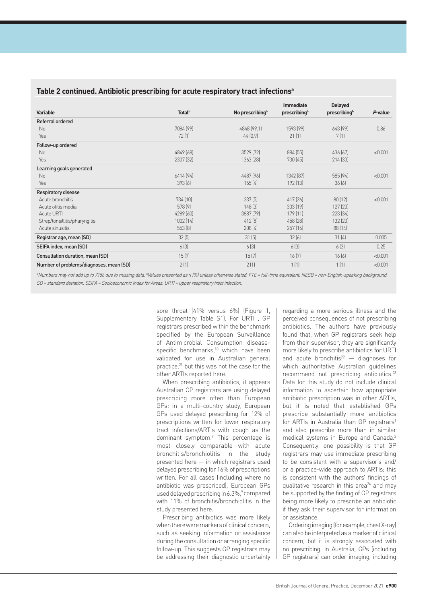| Table 2 continued. Antibiotic prescribing for acute respiratory tract infections <sup>a</sup> |
|-----------------------------------------------------------------------------------------------|
|-----------------------------------------------------------------------------------------------|

|                                         |                           |                             | Immediate    |                                |         |
|-----------------------------------------|---------------------------|-----------------------------|--------------|--------------------------------|---------|
| <b>Variable</b>                         | <b>Total</b> <sup>b</sup> | No prescribing <sup>b</sup> | prescribingb | <b>Delayed</b><br>prescribingb | P-value |
| Referral ordered                        |                           |                             |              |                                |         |
| No                                      | 7084 [99]                 | 4848 [99.1]                 | 1593 [99]    | 643 [99]                       | 0.86    |
| Yes                                     | 72(1)                     | 44(0.9)                     | 21(1)        | 7(1)                           |         |
| Follow-up ordered                       |                           |                             |              |                                |         |
| No                                      | 4849 [68]                 | 3529 [72]                   | 884 [55]     | 436 [67]                       | < 0.001 |
| Yes                                     | 2307 [32]                 | 1363 [28]                   | 730 (45)     | 214 [33]                       |         |
| Learning goals generated                |                           |                             |              |                                |         |
| No                                      | 6414 (94)                 | 4487 [96]                   | 1342 [87]    | 585 [94]                       | < 0.001 |
| Yes                                     | 393(6)                    | 165(4)                      | 192 (13)     | 36(6)                          |         |
| Respiratory disease                     |                           |                             |              |                                |         |
| Acute bronchitis                        | 734 [10]                  | 237(5)                      | 417 (26)     | 80(12)                         | < 0.001 |
| Acute otitis media                      | 578 [9]                   | 148(3)                      | 303 (19)     | 127(20)                        |         |
| <b>Acute URTI</b>                       | 4289 [60]                 | 3887 [79]                   | 179[11]      | 223 (34)                       |         |
| Strep/tonsillitis/pharyngitis           | 1002(14)                  | 412[8]                      | 458 (28)     | 132 (20)                       |         |
| Acute sinusitis                         | 553(8)                    | 208(4)                      | 257(16)      | 88[14]                         |         |
| Registrar age, mean (SD)                | 32(5)                     | 31(5)                       | 32(6)        | 31(4)                          | 0.005   |
| SEIFA index, mean (SD)                  | 6(3)                      | 6(3)                        | 6(3)         | 6(3)                           | 0.25    |
| Consultation duration, mean (SD)        | 15(7)                     | 15(7)                       | 16(7)        | 16(6)                          | < 0.001 |
| Number of problems/diagnoses, mean (SD) | 2(1)                      | 2(1)                        | 1(1)         | 1(1)                           | < 0.001 |

aNumbers may not add up to 7156 due to missing data. <sup>b</sup>Values presented as n (%) unless otherwise stated. FTE = full-time equivalent. NESB = non-English-speaking background. SD = standard deviation. SEIFA = Socioeconomic Index for Areas. URTI = upper respiratory tract infection.

> sore throat (41% versus 6%) (Figure 1, Supplementary Table S1). For URTI , GP registrars prescribed within the benchmark specified by the European Surveillance of Antimicrobial Consumption diseasespecific benchmarks,<sup>18</sup> which have been validated for use in Australian general practice,<sup>21</sup> but this was not the case for the other ARTIs reported here.

> When prescribing antibiotics, it appears Australian GP registrars are using delayed prescribing more often than European GPs: in a multi-country study, European GPs used delayed prescribing for 12% of prescriptions written for lower respiratory tract infections/ARTIs with cough as the dominant symptom.9 This percentage is most closely comparable with acute bronchitis/bronchiolitis in the study presented here — in which registrars used delayed prescribing for 16% of prescriptions written. For all cases (including where no antibiotic was prescribed), European GPs used delayed prescribing in 6.3%,<sup>9</sup> compared with 11% of bronchitis/bronchiolitis in the study presented here.

> Prescribing antibiotics was more likely when there were markers of clinical concern, such as seeking information or assistance during the consultation or arranging specific follow-up. This suggests GP registrars may be addressing their diagnostic uncertainty

regarding a more serious illness and the perceived consequences of not prescribing antibiotics. The authors have previously found that, when GP registrars seek help from their supervisor, they are significantly more likely to prescribe antibiotics for URTI and acute bronchitis $^{22}$  – diagnoses for which authoritative Australian guidelines recommend not prescribing antibiotics.23 Data for this study do not include clinical information to ascertain how appropriate antibiotic prescription was in other ARTIs, but it is noted that established GPs prescribe substantially more antibiotics for ARTIs in Australia than GP registrars<sup>1</sup> and also prescribe more than in similar medical systems in Europe and Canada.2 Consequently, one possibility is that GP registrars may use immediate prescribing to be consistent with a supervisor's and/ or a practice-wide approach to ARTIs; this is consistent with the authors' findings of qualitative research in this area<sup>24</sup> and may be supported by the finding of GP registrars being more likely to prescribe an antibiotic if they ask their supervisor for information or assistance.

Ordering imaging (for example, chest X-ray) can also be interpreted as a marker of clinical concern, but it is strongly associated with no prescribing. In Australia, GPs (including GP registrars) can order imaging, including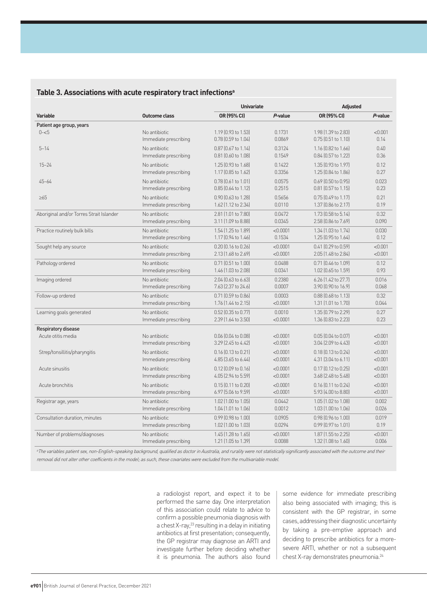## **Table 3. Associations with acute respiratory tract infectionsa**

|                                          |                       | <b>Univariate</b>         |          | <b>Adjusted</b>           |         |  |
|------------------------------------------|-----------------------|---------------------------|----------|---------------------------|---------|--|
| <b>Variable</b>                          | Outcome class         | OR (95% CI)               | P-value  | OR (95% CI)               | P-value |  |
| Patient age group, years                 |                       |                           |          |                           |         |  |
| $0 - 5$                                  | No antibiotic         | 1.19 (0.93 to 1.53)       | 0.1731   | 1.98 (1.39 to 2.83)       | < 0.001 |  |
|                                          | Immediate prescribing | 0.78 (0.59 to 1.04)       | 0.0869   | 0.75 (0.51 to 1.10)       | 0.14    |  |
| $5 - 14$                                 | No antibiotic         | 0.87 (0.67 to 1.14)       | 0.3124   | 1.16 (0.82 to 1.66)       | 0.40    |  |
|                                          | Immediate prescribing | 0.81 (0.60 to 1.08)       | 0.1549   | 0.84 (0.57 to 1.22)       | 0.36    |  |
| $15 - 24$                                | No antibiotic.        | 1.25 (0.93 to 1.68)       | 0.1422   | 1.35 (0.93 to 1.97)       | 0.12    |  |
|                                          | Immediate prescribing | 1.17 (0.85 to 1.62)       | 0.3356   | 1.25 (0.84 to 1.86)       | 0.27    |  |
| $45 - 64$                                | No antibiotic         | $0.78$ $[0.61$ to $1.01]$ | 0.0575   | 0.69 (0.50 to 0.95)       | 0.023   |  |
|                                          | Immediate prescribing | $0.85$ $[0.64$ to $1.12]$ | 0.2515   | 0.81 (0.57 to 1.15)       | 0.23    |  |
| $\geq 65$                                | No antibiotic         | 0.90 (0.63 to 1.28)       | 0.5656   | $0.75$ (0.49 to 1.17)     | 0.21    |  |
|                                          | Immediate prescribing | 1.62 (1.12 to 2.34)       | 0.0110   | 1.37 (0.86 to 2.17)       | 0.19    |  |
| Aboriginal and/or Torres Strait Islander | No antibiotic         | 2.81 (1.01 to 7.80)       | 0.0472   | 1.73 (0.58 to 5.14)       | 0.32    |  |
|                                          | Immediate prescribing | 3.11 (1.09 to 8.88)       | 0.0345   | 2.58 (0.86 to 7.69)       | 0.090   |  |
| Practice routinely bulk bills            | No antibiotic         | 1.54 (1.25 to 1.89)       | < 0.0001 | 1.34 (1.03 to 1.74)       | 0.030   |  |
|                                          | Immediate prescribing | 1.17 (0.94 to 1.46)       | 0.1534   | 1.25 (0.95 to 1.64)       | 0.12    |  |
| Sought help any source                   | No antibiotic         | $0.20$ $[0.16$ to $0.26]$ | < 0.0001 | 0.41 (0.29 to 0.59)       | < 0.001 |  |
|                                          | Immediate prescribing | 2.13 (1.68 to 2.69)       | < 0.0001 | 2.05 (1.48 to 2.84)       | < 0.001 |  |
| Pathology ordered                        | No antibiotic         | 0.71 (0.51 to 1.00)       | 0.0488   | 0.71 (0.46 to 1.09)       | 0.12    |  |
|                                          | Immediate prescribing | 1.46 (1.03 to 2.08)       | 0.0341   | 1.02 (0.65 to 1.59)       | 0.93    |  |
| Imaging ordered                          | No antibiotic         | 2.04 (0.63 to 6.63)       | 0.2380   | 6.26 [1.42 to 27.7]       | 0.016   |  |
|                                          | Immediate prescribing | 7.63 (2.37 to 24.6)       | 0.0007   | 3.90 (0.90 to 16.9)       | 0.068   |  |
| Follow-up ordered                        | No antibiotic         | 0.71 (0.59 to 0.86)       | 0.0003   | 0.88 (0.68 to 1.13)       | 0.32    |  |
|                                          | Immediate prescribing | 1.76 (1.44 to 2.15)       | < 0.0001 | 1.31 (1.01 to 1.70)       | 0.044   |  |
| Learning goals generated                 | No antibiotic         | $0.52$ (0.35 to 0.77)     | 0.0010   | 1.35 (0.79 to 2.29)       | 0.27    |  |
|                                          | Immediate prescribing | 2.39 (1.64 to 3.50)       | < 0.0001 | 1.36 (0.83 to 2.23)       | 0.23    |  |
| Respiratory disease                      |                       |                           |          |                           |         |  |
| Acute otitis media                       | No antibiotic         | 0.06 (0.04 to 0.08)       | < 0.0001 | $0.05$ $(0.04$ to $0.07)$ | < 0.001 |  |
|                                          | Immediate prescribing | 3.29 (2.45 to 4.42)       | < 0.0001 | 3.04 (2.09 to 4.43)       | < 0.001 |  |
| Strep/tonsillitis/pharyngitis            | No antibiotic         | $0.16$ $[0.13$ to $0.21]$ | < 0.0001 | $0.18$ $[0.13$ to $0.24]$ | < 0.001 |  |
|                                          | Immediate prescribing | $4.85$ (3.65 to 6.44)     | < 0.0001 | $4.31$ (3.04 to 6.11)     | < 0.001 |  |
| Acute sinusitis                          | No antibiotic         | 0.12 (0.09 to 0.16)       | < 0.0001 | 0.17 (0.12 to 0.25)       | < 0.001 |  |
|                                          | Immediate prescribing | 4.05 (2.94 to 5.59)       | < 0.0001 | 3.68 (2.48 to 5.48)       | < 0.001 |  |
| Acute bronchitis                         | No antibiotic         | $0.15$ $[0.11$ to $0.20]$ | < 0.0001 | 0.16 (0.11 to 0.24)       | < 0.001 |  |
|                                          | Immediate prescribing | $6.97$ (5.06 to 9.59)     | < 0.0001 | 5.93 (4.00 to 8.80)       | < 0.001 |  |
| Registrar age, years                     | No antibiotic         | 1.02 (1.00 to 1.05)       | 0.0442   | 1.05 (1.02 to 1.08)       | 0.002   |  |
|                                          | Immediate prescribing | 1.04 (1.01 to 1.06)       | 0.0012   | 1.03 (1.00 to 1.06)       | 0.026   |  |
| Consultation duration, minutes           | No antibiotic         | 0.99 (0.98 to 1.00)       | 0.0905   | 0.98 (0.96 to 1.00)       | 0.019   |  |
|                                          | Immediate prescribing | 1.02 (1.00 to 1.03)       | 0.0294   | 0.99 (0.97 to 1.01)       | 0.19    |  |
| Number of problems/diagnoses             | No antibiotic         | 1.45 (1.28 to 1.65)       | < 0.0001 | 1.87 (1.55 to 2.25)       | < 0.001 |  |
|                                          | Immediate prescribing | 1.21 (1.05 to 1.39)       | 0.0088   | 1.32 (1.08 to 1.60)       | 0.006   |  |

<sup>a</sup>The variables patient sex, non-English-speaking background, qualified as doctor in Australia, and rurality were not statistically significantly associated with the outcome and their removal did not alter other coefficients in the model; as such, these covariates were excluded from the multivariable model.

> a radiologist report, and expect it to be performed the same day. One interpretation of this association could relate to advice to confirm a possible pneumonia diagnosis with a chest X-ray,23 resulting in a delay in initiating antibiotics at first presentation; consequently, the GP registrar may diagnose an ARTI and investigate further before deciding whether it is pneumonia. The authors also found

some evidence for immediate prescribing also being associated with imaging; this is consistent with the GP registrar, in some cases, addressing their diagnostic uncertainty by taking a pre-emptive approach and deciding to prescribe antibiotics for a moresevere ARTI, whether or not a subsequent chest X-ray demonstrates pneumonia.24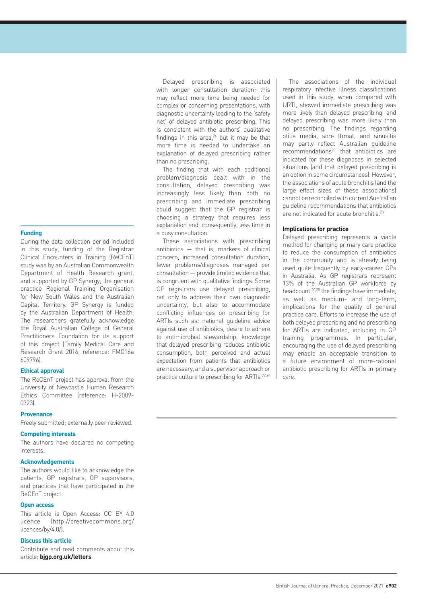## **Funding**

During the data collection period included in this study, funding of the Registrar Clinical Encounters in Training (ReCEnT) study was by an Australian Commonwealth Department of Health Research grant, and supported by GP Synergy, the general practice Regional Training Organisation for New South Wales and the Australian Capital Territory. GP Synergy is funded by the Australian Department of Health. The researchers gratefully acknowledge the Royal Australian College of General Practitioners Foundation for its support of this project (Family Medical Care and Research Grant 2016; reference: FMC16a 609796).

## **Ethical approval**

The ReCEnT project has approval from the University of Newcastle Human Research Ethics Committee (reference: H-2009- 0323).

#### **Provenance**

Freely submitted; externally peer reviewed.

#### **Competing interests**

The authors have declared no competing interests.

## **Acknowledgements**

The authors would like to acknowledge the patients, GP registrars, GP supervisors, and practices that have participated in the ReCEnT project.

## **Open access**

This article is Open Access: CC BY 4.0 licence (http://creativecommons.org/ licences/by/4.0/).

## **Discuss this article**

Contribute and read comments about this article: **bjgp.org.uk/letters**

Delayed prescribing is associated with longer consultation duration; this may reflect more time being needed for complex or concerning presentations, with diagnostic uncertainty leading to the 'safety net' of delayed antibiotic prescribing. This is consistent with the authors' qualitative findings in this area, $24$  but it may be that more time is needed to undertake an explanation of delayed prescribing rather than no prescribing.

The finding that with each additional problem/diagnosis dealt with in the consultation, delayed prescribing was increasingly less likely than both no prescribing and immediate prescribing could suggest that the GP registrar is choosing a strategy that requires less explanation and, consequently, less time in a busy consultation.

These associations with prescribing antibiotics — that is, markers of clinical concern, increased consultation duration, fewer problems/diagnoses managed per consultation — provide limited evidence that is congruent with qualitative findings. Some GP registrars use delayed prescribing, not only to address their own diagnostic uncertainty, but also to accommodate conflicting influences on prescribing for ARTIs such as: national guideline advice against use of antibiotics, desire to adhere to antimicrobial stewardship, knowledge that delayed prescribing reduces antibiotic consumption, both perceived and actual expectation from patients that antibiotics are necessary, and a supervisor approach or practice culture to prescribing for ARTIs.22,24

The associations of the individual respiratory infective illness classifications used in this study, when compared with URTI, showed immediate prescribing was more likely than delayed prescribing, and delayed prescribing was more likely than no prescribing. The findings regarding otitis media, sore throat, and sinusitis may partly reflect Australian guideline recommendations<sup>23</sup> that antibiotics are indicated for these diagnoses in selected situations (and that delayed prescribing is an option in some circumstances). However, the associations of acute bronchitis (and the large effect sizes of these associations) cannot be reconciled with current Australian guideline recommendations that antibiotics are not indicated for acute bronchitis.<sup>23</sup>

## **Implications for practice**

Delayed prescribing represents a viable method for changing primary care practice to reduce the consumption of antibiotics in the community and is already being used quite frequently by early-career GPs in Australia. As GP registrars represent 13% of the Australian GP workforce by headcount,20,25 the findings have immediate, as well as medium- and long-term, implications for the quality of general practice care. Efforts to increase the use of both delayed prescribing and no prescribing for ARTIs are indicated, including in GP training programmes. In particular, encouraging the use of delayed prescribing may enable an acceptable transition to a future environment of more-rational antibiotic prescribing for ARTIs in primary care.